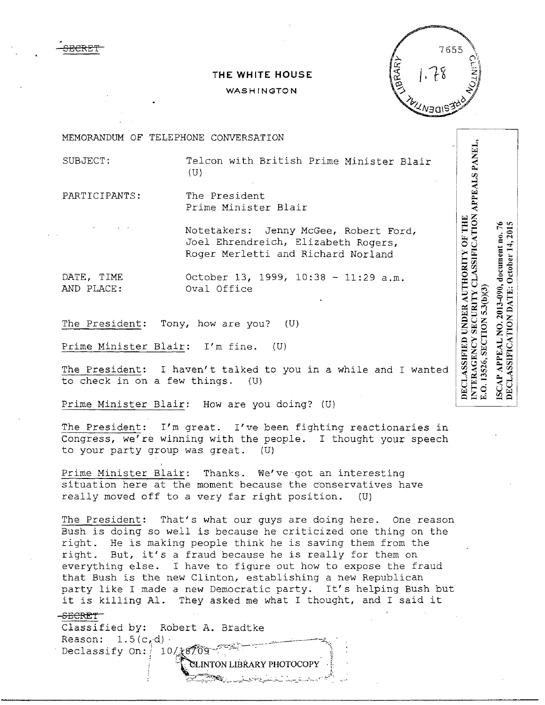**THE WHITE HOUSE** 

#### WASHINGTON



MEMORANDUM OF TELEPHONE CONVERSATION

SECRET

SUBJECT: Telcon with British Prime Minister Blair (U)

PARTICIPANTS: The President Prime Minister Blair

> Notetakers: Jenny McGee, Robert Ford, Joel Ehrendreich, Elizabeth Rogers, Roger Merletti and Richard Norland

DATE, TIME 0ctober 13, 1999, 10:38 - 11:29 a.m.<br>AND PLACE: 0val Office Oval Office

The President: Tony, how are you? (U)

Prime Minister Blair: I'm fine. (U)

The President: I haven't talked to you in a while and I wanted to check in on a few things. (U)

Prime Minister Blair: How are you doing? (U)

The President: I'm great. I've been fighting reactionaries in Congress, we're winning with the people. I thought your speech to your party group was great. (U)

Prime Minister Blair: Thanks. We've got an interesting situation here at the moment because the conservatives have really moved off to a very far right position. (U)

The President: That's what our guys are doing here. One reason Bush is doing so well is because he criticized one thing on the right. He is making people think he is saving them from the right. But, it's a fraud because he is really for them on everything else. I have to figure out how to expose the fraud that Bush is the new Clinton, establishing a new Republican party like I made a new Democratic party. It's helping Bush but it is killing Al. They asked me what I thought, and I said it

> INTON LIBRARY PHOTOCOPY. . "p! -;\_~~'..;·\_\_ ·-··;·;--.\_..~·-;,..c.\_:•.,,r~~-~~·.\_;\_ :...<-:J·---·-'-, ,\_ ,··· -:-;~-. ... ,

### -SECRET<sup>-</sup>

Classified by: Robert A. Bradtke  $Reason: 1.5(c, d)$ . Declassify On:  $10$ / $\frac{1}{3}$ 8

INTERAGENCY SECURITY CLASSIFICATION APPEALS PANEL, DECLASSIFIED UNDER AUTHORITY OF THE NO. 2013-090, document no. 76 DECLASSIFICATION DATE: October 14, 2015 E.O. 13526, SECTION 5.3(b)(3) **APPEAL** ISCAP.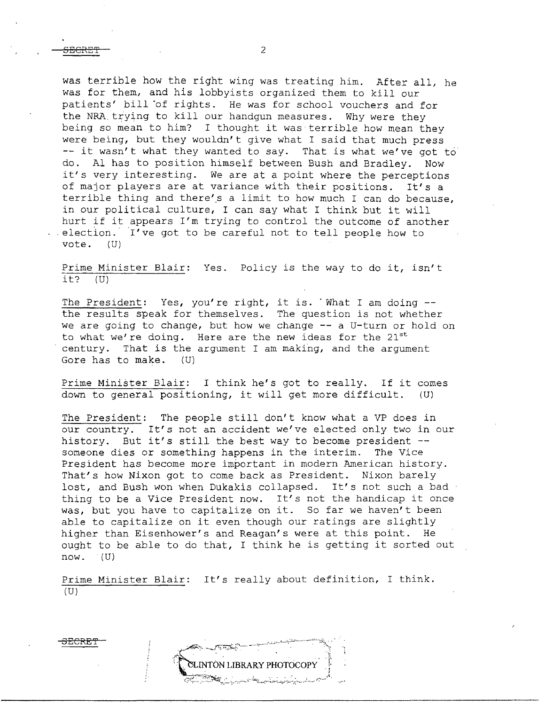SECRE'l'

was terrible how the right wing was treating him. After all, he was for them, and his lobbyists organized them to kill our patients' bill of rights. He was for school vouchers and for the NRA trying to kill our handgun measures. Why were they being so mean to him? I thought it was terrible how mean they were being, but they wouldn't give what I said that much press  $-$  it wasn't what they wanted to say. That is what we've got to do. Al has to position himself between Bush and Bradley. Now it's very interesting. We are at a point where the perceptions of major players are at variance with their positions. It's a terrible thing and there's a limit to how much I can do because, in our political culture, I can say what I think but it will hurt if it appears I'm trying to control the outcome of another election. I've got to be careful not to tell people how to vote.  $(U)$ vote.

Prime Minister Blair: Yes. Policy is the way to do it, isn't it?  $(U)$  $it?$ 

The President: Yes, you're right, it is. What I am doing  $-$ the results speak for themselves. The question is not whether we are going to change, but how we change -- a U-turn or hold on to what we're doing. Here are the new ideas for the  $21^{st}$ century. That is the argument I am making, and the argument Gore has to make. (U)

Prime Minister Blair: I think he's got to really. If it comes down to general positioning, it will get more difficult. (U)

The President: The people still don't know what a VP does in our country. It's not an accident we've elected only two in our history. But it's still the best way to become president -someone dies or something happens in the interim. The Vice President has become more important in modern American history. That's how Nixon got to come back as President. Nixon barely lost, and Bush won when Dukakis collapsed. It's not such a bad thing to be a Vice President now. It's not the handicap it once was, but you have to capitalize on it. So far we haven't been able to capitalize on it even though our ratings are slightly higher than Eisenhower's and Reagan's were at this point. He ought to be able to do that, I think he is getting it sorted out now. (U)

Prime Minister Blair: It's really about definition, I think. (U)

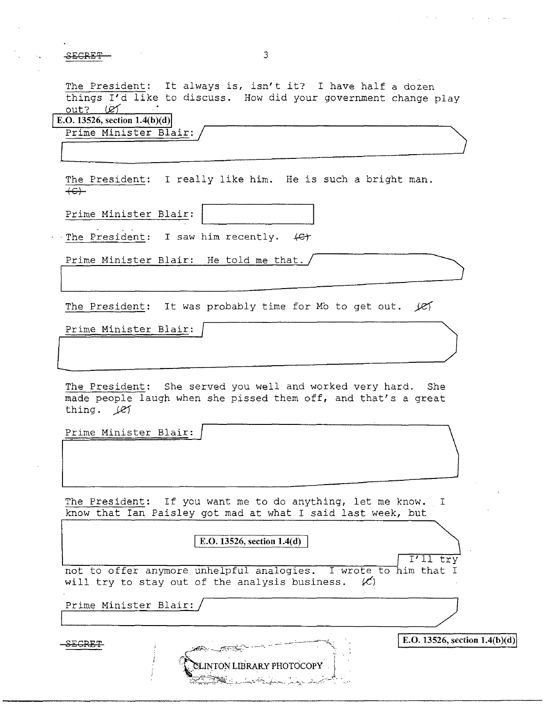SECRET

l

The President: It always is, isn't it? I have half a dozen things I'd like to discuss. How did your government change play out? Let

3

**E.O. 13526, section 1.4(b)(d)** 

Prime Minister Blair:

The President: I really like him. He is such a bright man. **+&l-**

Prime Minister Blair:

The President: I saw him recently.  $\left\{ \mathcal{C} \right\}$ 

Prime Minister Blair: He told me that./

The President: It was probably time for Mb to get out. *Jef* 

Prime Minister Blair:

The President: She served you well and worked very hard. She made people laugh when she pissed them off, and that's a great thing. *).eJ* 

 $\Box$ 

Prime Minister Blair:

The President: If you want me to do anything, let me know. I know that Ian Paisley got mad at what I said last week, but

**IF.O. 13526, section 1.4(d)**<br> **ITALCOFF THE EXECUTE:**<br>
TTALCOFF THE ANYMORE UNDER ANALLER AND THE SERVICE OF THE MODE OF THE TURNER OF THE UNITED SERVICE SERVICE TO A THE TURNER OF THE U will try to stay out of the analysis business.  $(x)$ 

**SLINTON LIBRARY PHOTOCOPY** 

**E.O.** 13526, section 1.4(b)(d)

Prime Minister Blair: I /

SECRET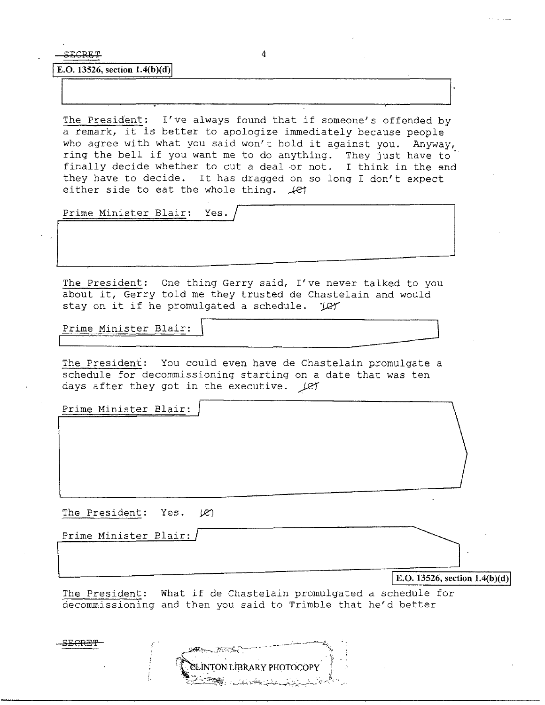SECRET 4

**E.O.** 13526, section  $1.4(b)(d)$ 

The President: I've always found that if someone's offended by a remark, it is better to apologize immediately because people who agree with what you said won't hold it against you. Anyway, ring the bell if you want me to do anything. They just have to finally decide whether to cut a deal or not. I think in the end they have to decide. It has dragged on so long I don't expect either side to eat the whole thing.  $\angle$ et

Prime Minister Blair: Yes.

The President: One thing Gerry said, I've never talked to you about it, Gerry told me they trusted de Chastelain and would stay on it if he promulgated a schedule. 'Let

Prime Minister Blair:

The President: You could even have de Chastelain promulgate a schedule for decommissioning starting on a date that was ten days after they got in the executive. *)121'* 

Prime Minister Blair:

The President: Yes.  $(R)$ 

,.'

Prime Minister Blair: /

**IE.O. 13526, section 1.4(b)(d)** 

The President: What if de Chastelain promulgated a schedule for decommissioning and then you said to Trimble that he'd better

SLINTON LIBRARY PHOTOCOPY

S<del>ECRE'</del>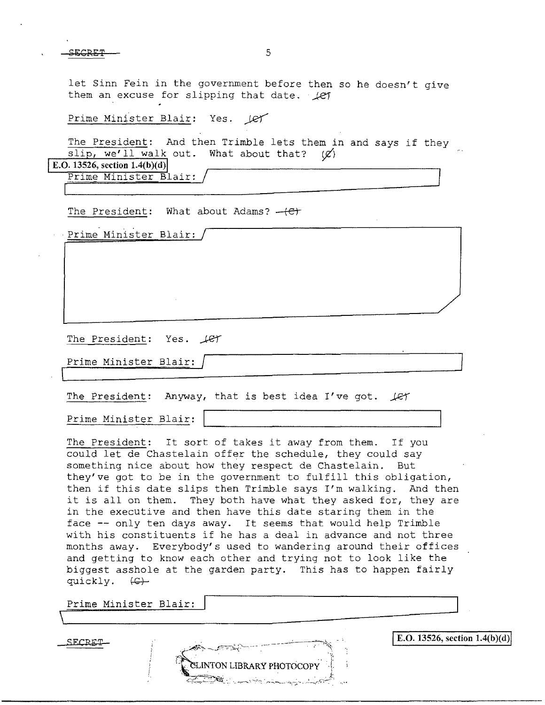let Sinn Fein in the government before then so he doesn't give them an excuse for slipping that date. *Let* 

Prime Minister Blair: Yes. 1et

The President: And then Trimble lets them in and says if they slip, we'll walk out. What about that?  $(\emptyset)$ E.O. 13526, section 1.4(b)(d)

Prime Minister Blair:

The President: What about Adams?  $-\left(\epsilon\right)$ 

Prime Minister Blair:

The President: Yes.  $\text{LET}$ 

Prime Minister Blair:  $\overline{\mathbb{L}}$ 

The President: Anyway, that is best idea I've got.  $\text{Ler}$ 

Prime Minister Blair:

The President: It sort of takes it away from them. If you could let de Chastelain offer the schedule, they could say something nice about how they respect de Chastelain. But they've got to be in the government to fulfill this obligation, then if this date slips then Trimble says I'm walking. And then it is all on them. They both have what they asked for, they are in the executive and then have this date staring them in the face -- only ten days away. It seems that would help Trimble with his constituents if he has a deal in advance and not three months away. Everybody's used to wandering around their offices and getting to know each other and trying not to look like the biggest asshole at the garden party. This has to happen fairly quickly.  $(\epsilon)$ 

**ELINTON LIBRARY PHOTOCOPY** 

Prime Minister Blair:

 $\text{SECRET}$  **E.O. 13526, section 1.4(b)(d)**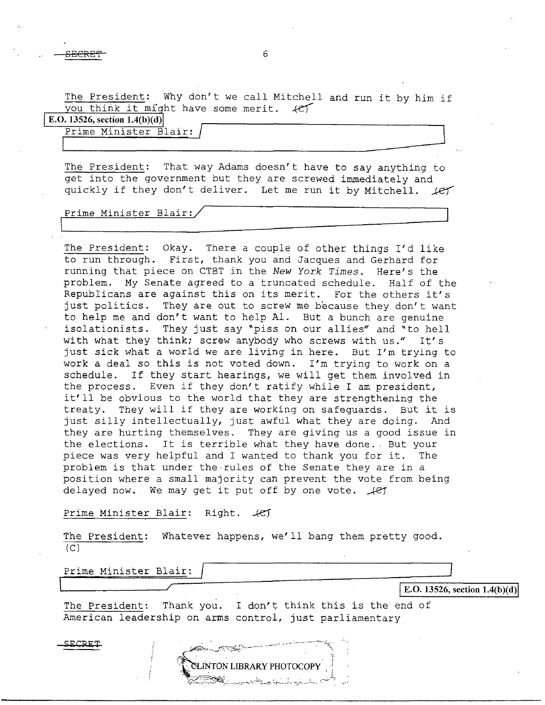The President: Why don't we call Mitchell and run it by him if you think it might have some merit.  $\mathcal{H}$ you think it might have some merit.

**E.O. 13526, section 1.4(b )(d)** 

 $\overline{\phantom{a}}$ 

Prime Minister Blair: /  $\begin{array}{|l|} \hline \texttt{Ptime Minister Blair:} \\\hline \end{array}$ 

The President: That way Adams doesn't have to say anything to get into the government but they are screwed immediately and quickly if they don't deliver. Let me run it by Mitchell.  $\text{Ler}$ 

# Prime Minister Blair:/

The President: Okay. There a couple of other things I'd like to run through. First, thank you and Jacques and Gerhard for running that piece on CTBT in the *New York Times.* Here's the problem. My Senate agreed to a truncated schedule. Half of the Republicans are against this on its merit. For the others it's just politics. They are out to screw me because they don't want to help me and don't want to help Al. But a bunch are genuine isolationists. They just say "piss on our allies" and "to hell with what they think; screw anybody who screws with  $us''$  It's just sick what a world we are living in here. But I'm trying to work a deal so this is not voted down. I'm trying to work on a schedule. If they start hearings, we will get them involved in the process. Even if they don't ratify while I am president, it'll be obvious to the world that they are strengthening the treaty. They will if they are working on safeguards. But it is just silly intellectually, just awful what they are doing. And they are hurting themselves. They are giving us a good issue in the elections. It is terrible what they have done. But your piece was very helpful and I wanted to thank you for it. The problem is that under the-rules of the Senate they are in a position where a small majority can prevent the vote from being delayed now. We may get it put off by one vote.  $\sqrt{e\gamma}$ 

Prime Minister Blair: Right.  $45$ 

The President: Whatever happens, we'll bang them pretty good.  $(C)$ 

Prime Minister Blair: ~::::!\_~~~~~~~--;::==~ .....\_\_\_\_\_\_\_\_\_\_\_,/

**E.O.** 13526, section  $1.4(b)(d)$ 

 $\overline{\phantom{a}}$ 

The President: Thank you. I don't think this is the end of American leadership on arms control, just parliamentary

**ELINTON LIBRARY PHOTOCOPY** 

**SECRET**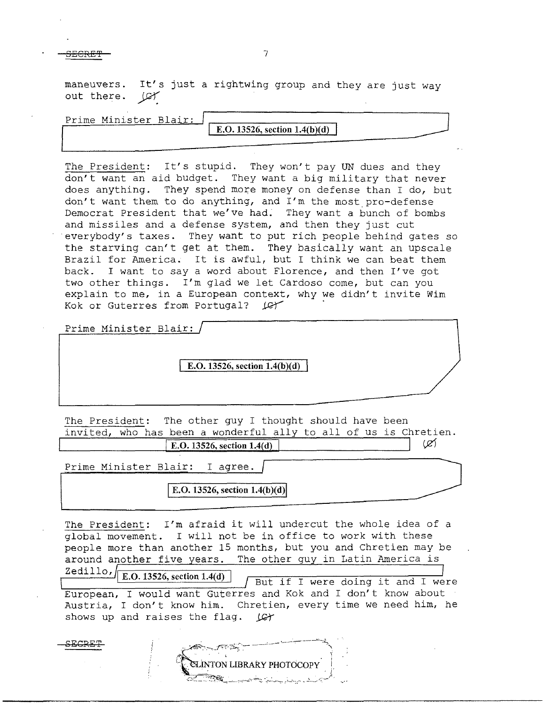SECRET TERMS AND THE SECRET THREE IN THE SECRET OF THE SECRET IN THE SECRET OF THE SECRET IN THE SECRET OF THE

maneuvers. It's just a rightwing group and they are just way out there. (C)

Prime Minister Blair:

**E.O. 13526, section 1.4(b)(d)** 

The President: It's stupid. They won't pay UN dues and they don't want an aid budget. They want a big military that never does anything. They spend more money on defense than I do, but don't want them to do anything, and I'm the most pro-defense Democrat President that we've had; They want a bunch of bombs and missiles and a defense system, and then they just cut everybody's taxes. They want to put rich people behind gates so the starving can't get at them. They basically want an upscale Brazil for America. It is awful, but I think we can beat them back. I want to say a word about Florence, and then I've got two other things. I'm glad we let Cardoso come, but can you explain to me, in a European context, why we didn't invite Wim Kok or Guterres from Portugal?  $LCF$ 

Prime Minister Blair:

SECRE !

**E.O.** 13526, section 1.4(b)(d)

The President: The other guy I thought should have been invited, who has been a wonderful ally to all of us is Chretien.

 $\overline{E.0.13526, \text{ section } 1.4(d)}$   $\langle \varnothing \rangle$ 

Prime Minister Blair: I agree.

E.O. 13526, section 1.4(b)(d)

The President: I'm afraid it will undercut the whole idea of a global movement. I will not be in office to work with these people more than another 15 months, but you and Chretien may be around another five years. The other guy in Latin America is

 $\frac{\text{Zedillo}}{\text{E.O. 13526, section 1.4(d)}}$   $\sqrt{\frac{\text{But if I were doing it and I were}}{\text{But if I were.}}$ European, I would want Guterres and Kok and I don't know about Austria, I don't know him. Chretien, every time we need him, he shows up and raises the flag. *JG*+

**ELINTON LIBRARY PHOTOCOPY**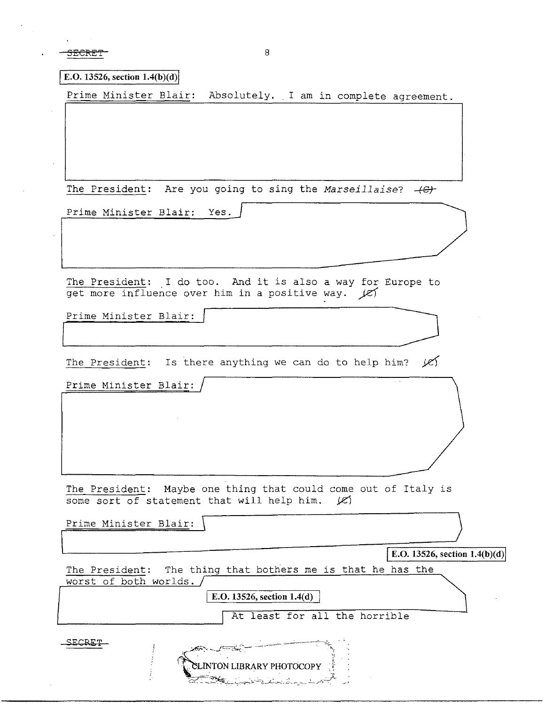SECRETT 8

**E.O. 13526, section 1.4(b)(d)** 

Prime Minister Blair: Absolutely. I am in complete agreement.

The President: Are you going to sing the *Marseillaise*?  $-$ <del>(C)</del>

Prime Minister Blair: Yes.

The President: I do too. And it is also a way for Europe to get more influence over him in a positive way.  $\angle$ es

Prime Minister Blair:

The President: Is there anything we can do to help him?  $\chi$ 

Prime Minister Blair:

The President: Maybe one thing that could come out of Italy is some sort of statement that will help him.  $|C|$ 

Prime Minister Blair: \ ) **E.O. 13526, section 1.4(b)(d)** The President: The thing that bothers me is that he has the worst of both worlds. | **E.O. 13526, section 1.4(d)** | At least for all the horrible SECRET

> CLINTON LIBRARY PHOTOCOPY كالمستحدث والمستنصر والمتحارب والمتوافق والمتعارض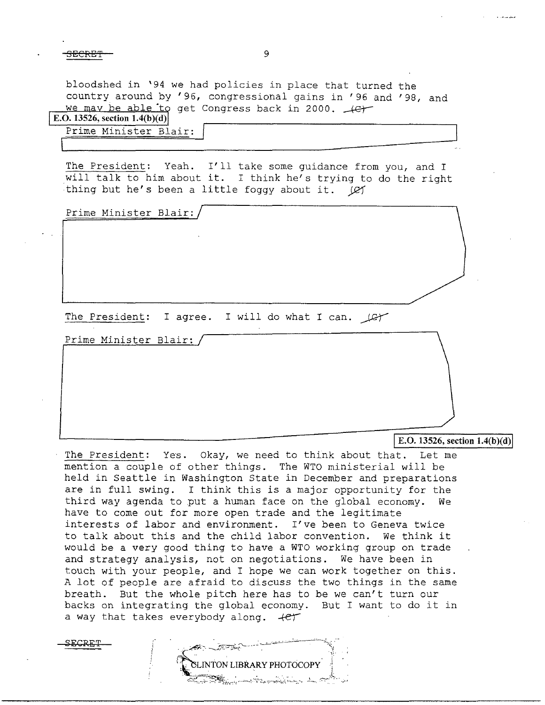bloodshed in '94 we had policies in place that turned the country around by '96, congressional gains in '96 and '98, and we may be able to get Congress back in 2000.  $\leftarrow$ 

| E.O. 13526, section $1.4(b)(d)$ |  |  |
|---------------------------------|--|--|
|                                 |  |  |
|                                 |  |  |

| Prime Minister Blair: |  |  |
|-----------------------|--|--|
|                       |  |  |

The President: Yeah. I'll take some guidance from you, and I will talk to him about it. I think he's trying to do the right thing but he's been a little foggy about it. (e)

Prime Minister Blair:

The President: I agree. I will do what I can.  $\angle$ 

Prime Minister Blair:

## E.O.  $13526$ , section  $1.4(b)(d)$

The President: Yes. Okay, we need to think about that. Let me mention a couple of other things. The WTO ministerial will be held in Seattle in Washington State in December and preparations are in full swing. I think this is a major opportunity for the third way agenda to put a human face on the global economy. We have to come out for more open trade and the legitimate interests of labor and environment. I've been to Geneva twice to talk about this and the child labor convention. We think it would be a very good thing to have a WTO working group on trade and strategy analysis, not on negotiations. We have been in touch with your people, and I hope we can work together on this. A lot of people are afraid to discuss the two things in the same breath. But the whole pitch here has to be we can't turn our backs on integrating the global economy. But I want to do it in a way that takes everybody along.  $+e^+$ 

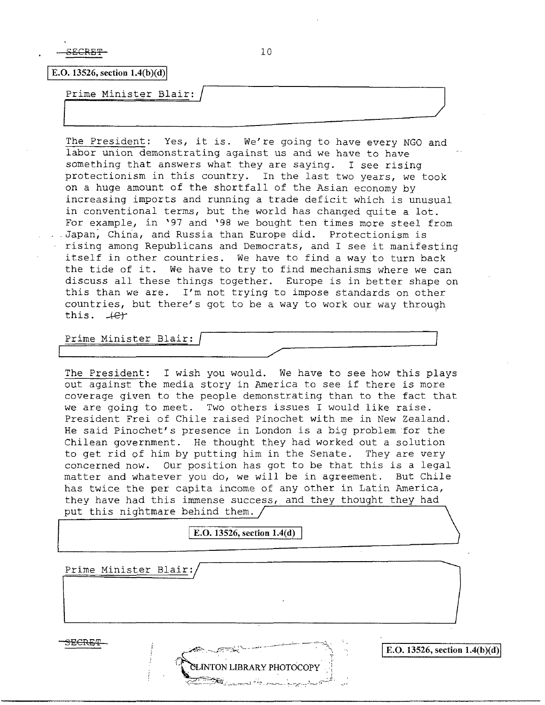SECRET-

**E.O. 13526, section**  $1.4(b)(d)$ 

Prime Minister Blair:

The President: Yes, it is. We're going to have every NGO and labor union demonstrating against us and we have to have something that answers what they are saying. I see rising protectionism in this country. In the last two years, we took on a huge amount of the shortfall of the Asian economy by increasing imports and running a trade deficit which is unusual in conventional terms, but the world has changed quite a lot. For example, in '97 and '98 we bought ten times more steel from .Japan; China, and Russia than Europe did. Protectionism is rising among Republicans and Democrats, and I see it manifesting itself in other countries. We have to find a way to turn back the tide of it. We have to try to find mechanisms where we can discuss all these things together. Europe is in better shape on this than we are. I'm not trying to impose standards on other countries, but there's got to be a way to work our way through this.  $+e$ 

Prime Minister Blair:

The President: I wish you would. We have to see how this plays out against the media story in America to see if there is more coverage given to the people demonstrating than to the fact that we are going to meet. Two others issues I would like raise. President Frei of Chile raised Pinochet with me in New Zealand. He said Pinochet's presence in London is a big problem for the Chilean government. He thought they had worked out a solution to get rid of him by putting him in the Senate. They are very concerned now. Our position has got to be that this is a legal matter and whatever you do, we will be in agreement. But Chile has twice the per capita income of any other in Latin America, they have had this immense success, and they thought they had put this nightmare behind them.

**E.O. 13526, section 1.4(d)** 

Prime Minister Blair:

3ECRET



 $|$  **E.O. 13526, section 1.4(b)(d)** 

 $\overline{\phantom{a}}$  . The contract of the contract of the contract of the contract of the contract of the contract of the contract of the contract of the contract of the contract of the contract of the contract of the contract of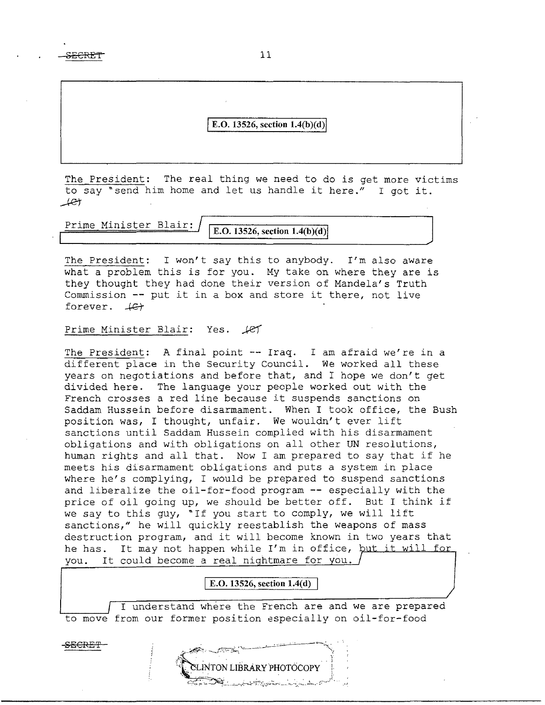SECRE'f

#### jE.O. **13526, section l.4(b**)(d)j

The President: The real thing we need to do is get more victims to say ~send him home and let us handle it here." I got it.  $+e$ t $+$ 

Prime Minister Blair:

**E.O.** 13526, section  $1.4(b)(d)$ 

The President: I won't say this to anybody. I'm also aware what a problem this is for you. My take on where they are is they thought they had done their version of Mandela's Truth Commission -- put it in a box and store it there, not live forever.  $#$ 

## Prime Minister Blair: Yes.  $\cancel{1}$

The President: A final point -- Iraq. I am afraid we're in a different place in the Security Council. We worked all these years on negotiations and before that, and I hope we don't get divided here. The language your people worked out with the French crosses a red line because it suspends sanctions on Saddam Hussein before disarmament. When I took office, the Bush position was, I thought, unfair. We wouldn't ever lift sanctions until Saddam Hussein complied with his disarmament obligations and with obligations on all other UN resolutions, human rights and all that. Now I am prepared to say that if he meets his disarmament obligations and puts a system in place where he's complying, I would be prepared to suspend sanctions and liberalize the oil-for-food program -- especially with the price of oil going up, we should be better off. But I think if we say to this guy, "If you start to comply, we will lift sanctions," he will quickly reestablish the weapons of mass destruction program, and it will become known in two years that he has. It may not happen while I'm in office, but it will for you. It could become a real nightmare for you.

## E.O. 13526, section 1.4(d)

I understand where the French are and we are prepared to move from our former position aspecially on oil-for-food

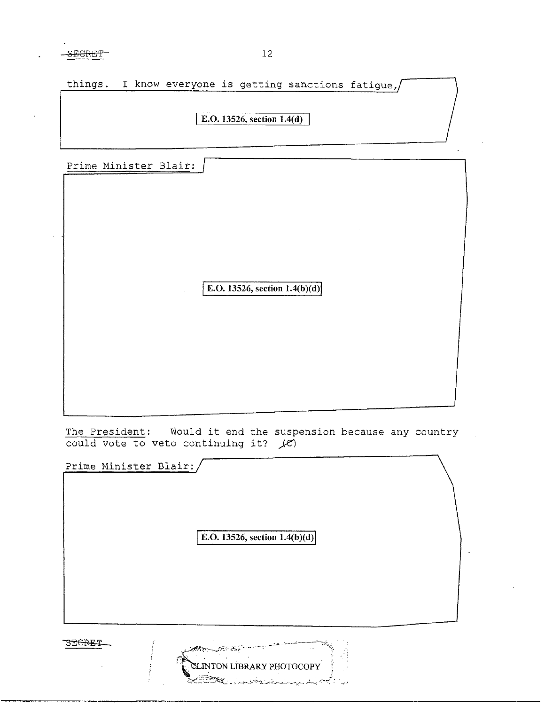| things. I know everyone is getting sanctions fatique,/ |  |
|--------------------------------------------------------|--|
|                                                        |  |
| E.O. 13526, section 1.4(d)                             |  |
|                                                        |  |
|                                                        |  |

|  | Prime Minister Blair: |  |  |
|--|-----------------------|--|--|
|  |                       |  |  |

**E.O. 13526, section 1.4(b)(d)** 

The President: Would it end the suspension because any country could vote to veto continuing it? *)e')* 

Prime Minister Blair: **E.O.** 13526, section  $1.4(b)(d)$ SECRET

SLINTON LIBRARY PHOTOCOPY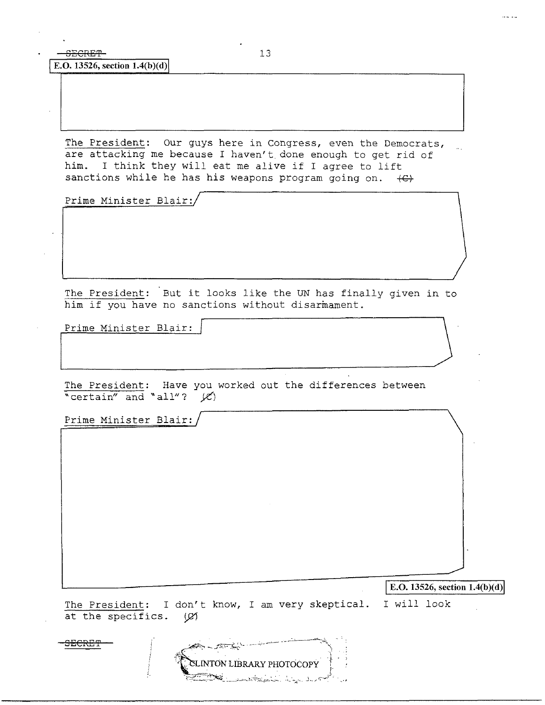**E.O.** 13526, section 1.4(b)(d)

The President: Our guys here in Congress, even the Democrats, are attacking me because I haven't. done enough to get rid of him. I think they will eat me alive if I agree to lift sanctions while he has his weapons program going on.  $\leftarrow$ 

Prime Minister Blair:/

The President: But it looks like the UN has finally given in to him if you have no sanctions without disarmament.

Prime Minister Blair:

The President: Have you worked out the differences between "certain" and "all"?  $\cancel{(C)}$ 

Prime Minister Blair:

 $\vert$  **E.O.** 13526, section 1.4(b)(d)

The President: I don't know, I am very skeptical. I will look at the specifics. (Ø)

**EXAMPLE AND THE CONTROLLINTON LIBRARY PHOTOCOPY** SECRE'P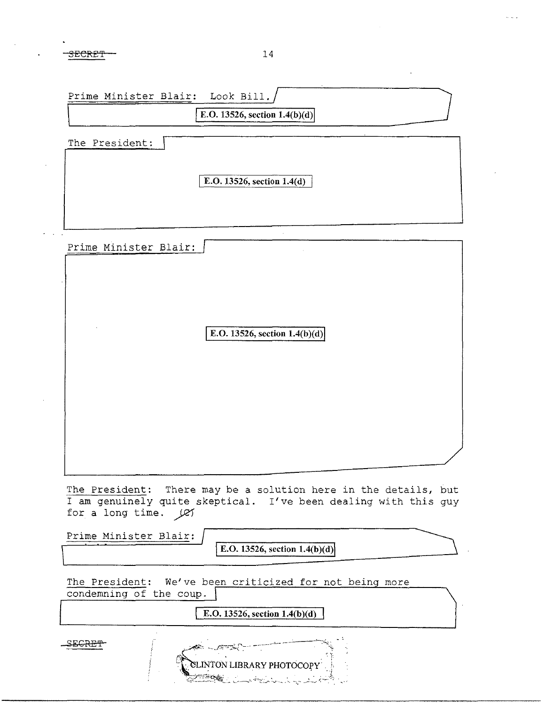|                         | E.O. 13526, section $1.4(b)(d)$                                                                                                    |
|-------------------------|------------------------------------------------------------------------------------------------------------------------------------|
| The President:          |                                                                                                                                    |
|                         |                                                                                                                                    |
|                         | E.O. 13526, section 1.4(d)                                                                                                         |
|                         |                                                                                                                                    |
|                         |                                                                                                                                    |
| Prime Minister Blair:   |                                                                                                                                    |
|                         |                                                                                                                                    |
|                         |                                                                                                                                    |
|                         | E.O. 13526, section $1.4(b)(d)$                                                                                                    |
|                         |                                                                                                                                    |
|                         |                                                                                                                                    |
|                         |                                                                                                                                    |
|                         |                                                                                                                                    |
|                         |                                                                                                                                    |
|                         |                                                                                                                                    |
| for a long time. Let    | The President: There may be a solution here in the details, but<br>I am genuinely quite skeptical. I've been dealing with this guy |
| Prime Minister Blair:   |                                                                                                                                    |
|                         | E.O. 13526, section $1.4(b)(d)$                                                                                                    |
| condemning of the coup. | The President: We've been criticized for not being more                                                                            |
|                         |                                                                                                                                    |
|                         | E.O. 13526, section $1.4(b)(d)$                                                                                                    |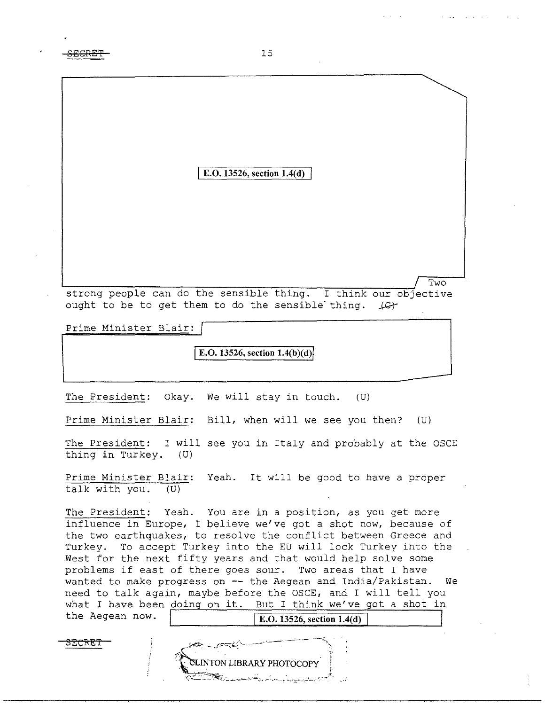**:SEGRE'!'** 15

## I **E.O. 13526, section 1.4(d)**

strong people can do the sensible thing. I think our objective ought to be to get them to do the sensible thing.  $\mathcal{L}$ 

Two

Prime Minister Blair:

**E.O. 13526, section 1.4(b)(d)** 

The President: Okay. We will stay in touch. (U)

Prime Minister Blair: Bill, when will we see you then?  $(U)$ 

The President: I will see you in Italy and probably at the OSCE thing **in** Turkey. (U)

Prime Minister Blair: Yeah. It will be good to have a proper talk with you. (U)

**The** President: Yeah. You are in a position, as you get more influence in Europe, I believe we've got a shot now, because of the two earthquakes, to resolve the conflict between Greece and Turkey. To accept Turkey into the EU will lock Turkey into the West for the next fifty years and that would help solve some problems if east of there goes sour. Two areas that I have wanted to make progress on -- the Aegean and India/Pakistan. We need to talk again, maybe before the OSCE, and I will tell you what I have been doing on it. But I think we've got a shot in the Aegean now.  $\sqrt{\text{E.O. 13526, section 1.4(d)}}$ 

SECRET